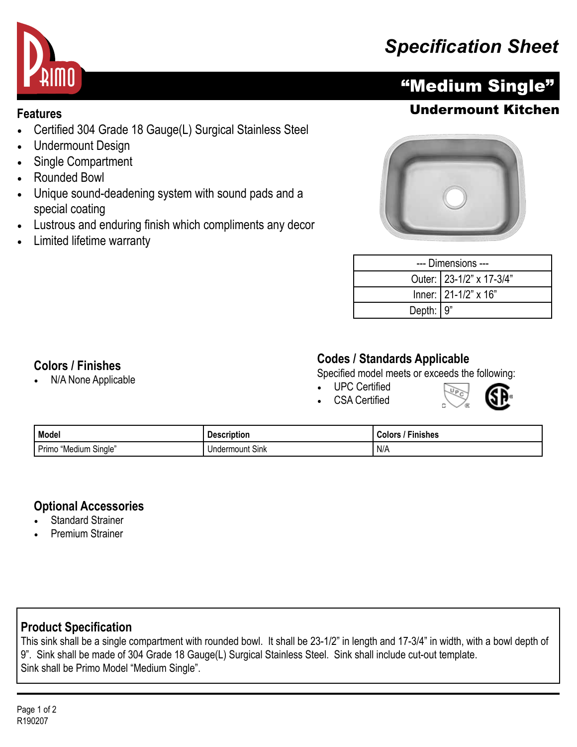## *Specification Sheet*



- Certified 304 Grade 18 Gauge(L) Surgical Stainless Steel
- Undermount Design
- Single Compartment
- Rounded Bowl
- Unique sound-deadening system with sound pads and a special coating
- Lustrous and enduring finish which compliments any decor
- Limited lifetime warranty





| --- Dimensions --- |                          |  |
|--------------------|--------------------------|--|
|                    | Outer: 23-1/2" x 17-3/4" |  |
|                    | Inner: 21-1/2" x 16"     |  |
| Depth: $9"$        |                          |  |

**WPC** 

#### **Colors / Finishes**

• N/A None Applicable

#### **Codes / Standards Applicable**

Specified model meets or exceeds the following:

• UPC Certified CSA Certified



| Model                      | Description               | <b>Finishes</b><br>:olor ت |
|----------------------------|---------------------------|----------------------------|
| "Medium Single" ر<br>Primo | $\sim$<br>Undermount Sink | I N/A                      |

#### **Optional Accessories**

- **Standard Strainer**
- Premium Strainer

## **Product Specification**

This sink shall be a single compartment with rounded bowl. It shall be 23-1/2" in length and 17-3/4" in width, with a bowl depth of 9". Sink shall be made of 304 Grade 18 Gauge(L) Surgical Stainless Steel. Sink shall include cut-out template. Sink shall be Primo Model "Medium Single".